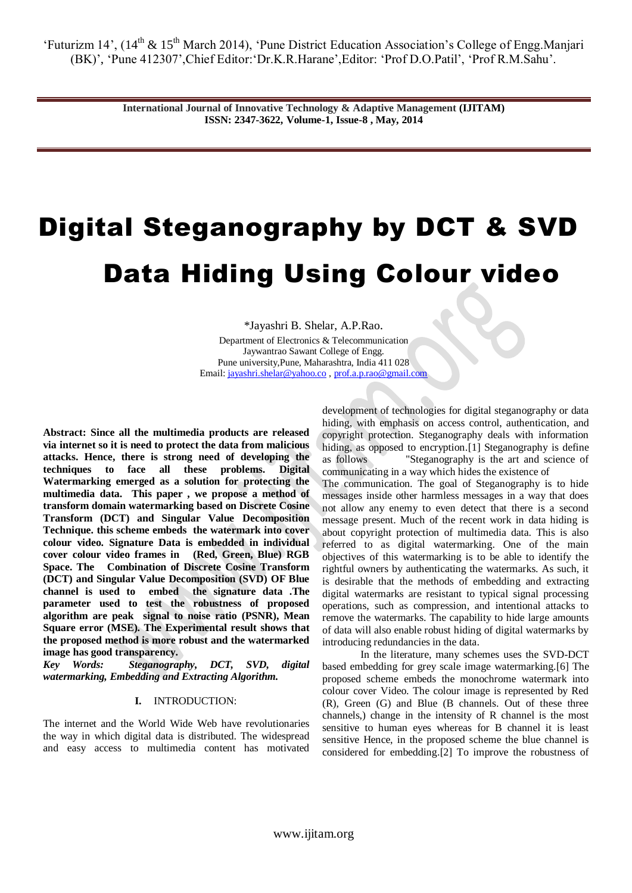> **International Journal of Innovative Technology & Adaptive Management (IJITAM) ISSN: 2347-3622, Volume-1, Issue-8 , May, 2014**

# Digital Steganography by DCT & SVD Data Hiding Using Colour video

\*Jayashri B. Shelar, A.P.Rao. Department of Electronics & Telecommunication Jaywantrao Sawant College of Engg. Pune university,Pune, Maharashtra, India 411 028 Email[: jayashri.shelar@yahoo.co](mailto:jayashri.shelar@yahoo.co) [, prof.a.p.rao@gmail.com](mailto:prof.a.p.rao@gmail.com)

**Abstract: Since all the multimedia products are released via internet so it is need to protect the data from malicious attacks. Hence, there is strong need of developing the techniques to face all these problems. Digital Watermarking emerged as a solution for protecting the multimedia data. This paper , we propose a method of transform domain watermarking based on Discrete Cosine Transform (DCT) and Singular Value Decomposition Technique. this scheme embeds the watermark into cover colour video. Signature Data is embedded in individual cover colour video frames in (Red, Green, Blue) RGB Space. The Combination of Discrete Cosine Transform (DCT) and Singular Value Decomposition (SVD) OF Blue channel is used to embed the signature data .The parameter used to test the robustness of proposed algorithm are peak signal to noise ratio (PSNR), Mean Square error (MSE). The Experimental result shows that the proposed method is more robust and the watermarked image has good transparency.** 

*Key Words: Steganography, DCT, SVD, digital watermarking, Embedding and Extracting Algorithm.*

### **I.** INTRODUCTION:

The internet and the World Wide Web have revolutionaries the way in which digital data is distributed. The widespread and easy access to multimedia content has motivated development of technologies for digital steganography or data hiding, with emphasis on access control, authentication, and copyright protection. Steganography deals with information hiding, as opposed to encryption.<sup>[1]</sup> Steganography is define as follows "Steganography is the art and science of communicating in a way which hides the existence of

The communication. The goal of Steganography is to hide messages inside other harmless messages in a way that does not allow any enemy to even detect that there is a second message present. Much of the recent work in data hiding is about copyright protection of multimedia data. This is also referred to as digital watermarking. One of the main objectives of this watermarking is to be able to identify the rightful owners by authenticating the watermarks. As such, it is desirable that the methods of embedding and extracting digital watermarks are resistant to typical signal processing operations, such as compression, and intentional attacks to remove the watermarks. The capability to hide large amounts of data will also enable robust hiding of digital watermarks by introducing redundancies in the data.

In the literature, many schemes uses the SVD-DCT based embedding for grey scale image watermarking.[6] The proposed scheme embeds the monochrome watermark into colour cover Video. The colour image is represented by Red (R), Green (G) and Blue (B channels. Out of these three channels,) change in the intensity of R channel is the most sensitive to human eyes whereas for B channel it is least sensitive Hence, in the proposed scheme the blue channel is considered for embedding.[2] To improve the robustness of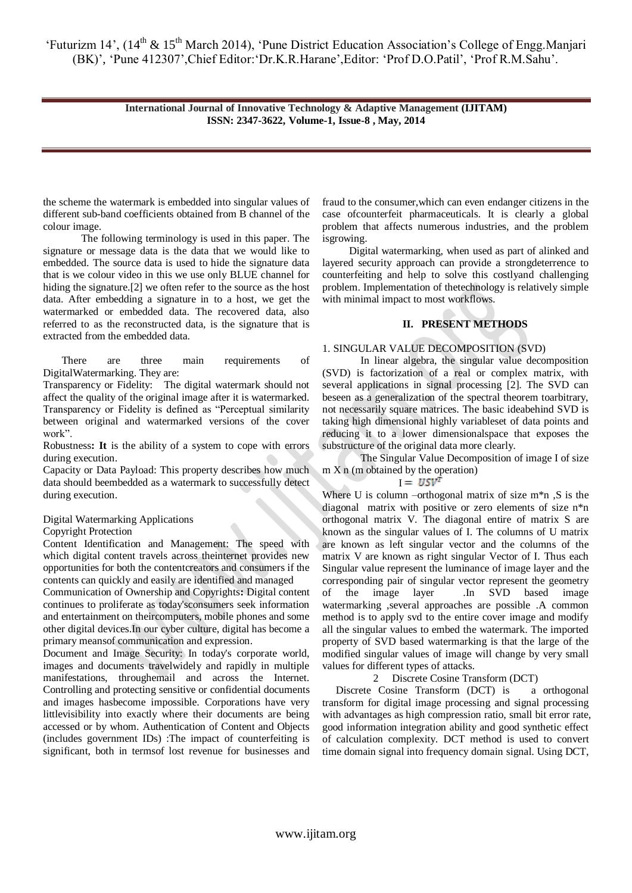> **International Journal of Innovative Technology & Adaptive Management (IJITAM) ISSN: 2347-3622, Volume-1, Issue-8 , May, 2014**

the scheme the watermark is embedded into singular values of different sub-band coefficients obtained from B channel of the colour image.

The following terminology is used in this paper. The signature or message data is the data that we would like to embedded. The source data is used to hide the signature data that is we colour video in this we use only BLUE channel for hiding the signature.[2] we often refer to the source as the host data. After embedding a signature in to a host, we get the watermarked or embedded data. The recovered data, also referred to as the reconstructed data, is the signature that is extracted from the embedded data.

There are three main requirements of DigitalWatermarking. They are:

Transparency or Fidelity: The digital watermark should not affect the quality of the original image after it is watermarked. Transparency or Fidelity is defined as "Perceptual similarity between original and watermarked versions of the cover work".

Robustness**: It** is the ability of a system to cope with errors during execution.

Capacity or Data Payload: This property describes how much data should beembedded as a watermark to successfully detect during execution.

#### Digital Watermarking Applications

#### Copyright Protection

Content Identification and Management: The speed with which digital content travels across theinternet provides new opportunities for both the contentcreators and consumers if the contents can quickly and easily are identified and managed

Communication of Ownership and Copyrights**:** Digital content continues to proliferate as today'sconsumers seek information and entertainment on theircomputers, mobile phones and some other digital devices.In our cyber culture, digital has become a primary meansof communication and expression.

Document and Image Security: In today's corporate world, images and documents travelwidely and rapidly in multiple manifestations, throughemail and across the Internet. Controlling and protecting sensitive or confidential documents and images hasbecome impossible. Corporations have very littlevisibility into exactly where their documents are being accessed or by whom. Authentication of Content and Objects (includes government IDs) :The impact of counterfeiting is significant, both in termsof lost revenue for businesses and fraud to the consumer,which can even endanger citizens in the case ofcounterfeit pharmaceuticals. It is clearly a global problem that affects numerous industries, and the problem isgrowing.

 Digital watermarking, when used as part of alinked and layered security approach can provide a strongdeterrence to counterfeiting and help to solve this costlyand challenging problem. Implementation of thetechnology is relatively simple with minimal impact to most workflows.

# **II. PRESENT METHODS**

#### 1. SINGULAR VALUE DECOMPOSITION (SVD)

In linear algebra, the singular value decomposition (SVD) is factorization of a real or complex matrix, with several applications in signal processing [2]. The SVD can beseen as a generalization of the spectral theorem toarbitrary, not necessarily square matrices. The basic ideabehind SVD is taking high dimensional highly variableset of data points and reducing it to a lower dimensionalspace that exposes the substructure of the original data more clearly.

The Singular Value Decomposition of image I of size m X n (m obtained by the operation)

 $I = USV^T$ 

Where U is column –orthogonal matrix of size  $m*n$ , S is the diagonal matrix with positive or zero elements of size n\*n orthogonal matrix V. The diagonal entire of matrix S are known as the singular values of I. The columns of U matrix are known as left singular vector and the columns of the matrix V are known as right singular Vector of I. Thus each Singular value represent the luminance of image layer and the corresponding pair of singular vector represent the geometry of the image layer .In SVD based image watermarking ,several approaches are possible .A common method is to apply svd to the entire cover image and modify all the singular values to embed the watermark. The imported property of SVD based watermarking is that the large of the modified singular values of image will change by very small values for different types of attacks.

# 2 Discrete Cosine Transform (DCT)

 Discrete Cosine Transform (DCT) is a orthogonal transform for digital image processing and signal processing with advantages as high compression ratio, small bit error rate, good information integration ability and good synthetic effect of calculation complexity. DCT method is used to convert time domain signal into frequency domain signal. Using DCT,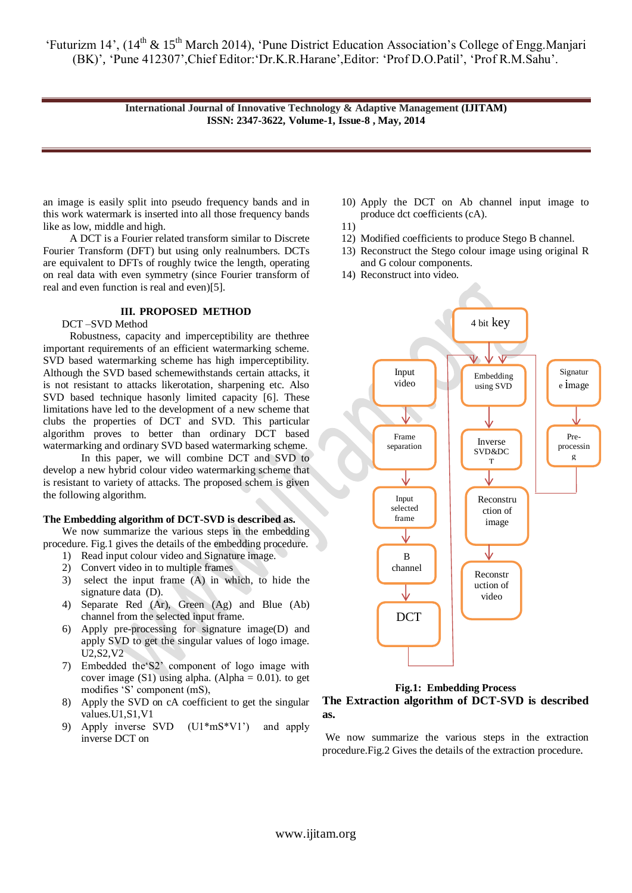> **International Journal of Innovative Technology & Adaptive Management (IJITAM) ISSN: 2347-3622, Volume-1, Issue-8 , May, 2014**

an image is easily split into pseudo frequency bands and in this work watermark is inserted into all those frequency bands like as low, middle and high.

 A DCT is a Fourier related transform similar to Discrete Fourier Transform (DFT) but using only realnumbers. DCTs are equivalent to DFTs of roughly twice the length, operating on real data with even symmetry (since Fourier transform of real and even function is real and even)[5].

#### **III. PROPOSED METHOD**

DCT –SVD Method

 Robustness, capacity and imperceptibility are thethree important requirements of an efficient watermarking scheme. SVD based watermarking scheme has high imperceptibility. Although the SVD based schemewithstands certain attacks, it is not resistant to attacks likerotation, sharpening etc. Also SVD based technique hasonly limited capacity [6]. These limitations have led to the development of a new scheme that clubs the properties of DCT and SVD. This particular algorithm proves to better than ordinary DCT based watermarking and ordinary SVD based watermarking scheme.

In this paper, we will combine DCT and SVD to develop a new hybrid colour video watermarking scheme that is resistant to variety of attacks. The proposed schem is given the following algorithm.

# **The Embedding algorithm of DCT-SVD is described as.**

We now summarize the various steps in the embedding procedure. Fig.1 gives the details of the embedding procedure.

- 1) Read input colour video and Signature image.
- 2) Convert video in to multiple frames
- 3) select the input frame (A) in which, to hide the signature data (D).
- 4) Separate Red (Ar), Green (Ag) and Blue (Ab) channel from the selected input frame.
- 6) Apply pre-processing for signature image(D) and apply SVD to get the singular values of logo image. U2,S2,V2
- 7) Embedded the"S2" component of logo image with cover image  $(S1)$  using alpha. (Alpha = 0.01). to get modifies 'S' component (mS),
- 8) Apply the SVD on cA coefficient to get the singular values.U1,S1,V1
- 9) Apply inverse SVD (U1\*mS\*V1") and apply inverse DCT on
- 10) Apply the DCT on Ab channel input image to produce dct coefficients (cA).
- 11)
- 12) Modified coefficients to produce Stego B channel.
- 13) Reconstruct the Stego colour image using original R and G colour components.
- 14) Reconstruct into video.



**Fig.1: Embedding Process**

# **The Extraction algorithm of DCT-SVD is described as.**

We now summarize the various steps in the extraction procedure.Fig.2 Gives the details of the extraction procedure.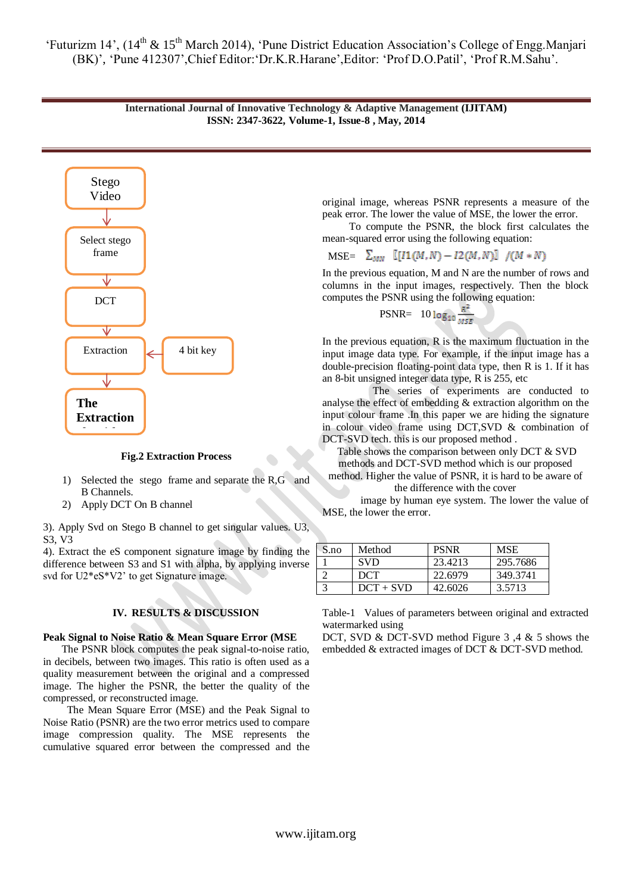



**Fig.2 Extraction Process** 

- 1) Selected the stego frame and separate the R,G and **B** Channels.
- 2) Apply DCT On B channel

3). Apply Svd on Stego B channel to get singular values. U3, S3, V3

4). Extract the eS component signature image by finding the difference between S3 and S1 with alpha, by applying inverse svd for U2\*eS\*V2' to get Signature image.

# **IV. RESULTS & DISCUSSION**

#### **Peak Signal to Noise Ratio & Mean Square Error (MSE** il to No

 The PSNR block computes the peak signal-to-noise ratio, in decibels, between two images. This ratio is often used as a quality measurement between the original and a compressed image. The higher the PSNR, the better the quality of the compressed, or reconstructed image.

 The Mean Square Error (MSE) and the Peak Signal to Noise Ratio (PSNR) are the two error metrics used to compare image compression quality. The MSE represents the cumulative squared error between the compressed and the

original image, whereas PSNR represents a measure of the peak error. The lower the value of MSE, the lower the error.

 To compute the PSNR, the block first calculates the mean-squared error using the following equation:

MSE=  $\sum_{MN}$   $[(I1(M,N) - I2(M,N))] / (M*N)$ 

In the previous equation, M and N are the number of rows and columns in the input images, respectively. Then the block computes the PSNR using the following equation:

$$
PSNR = 10 \log_{10} \frac{R^4}{MSE}
$$

In the previous equation, R is the maximum fluctuation in the input image data type. For example, if the input image has a double-precision floating-point data type, then R is 1. If it has an 8-bit unsigned integer data type, R is 255, etc

 The series of experiments are conducted to analyse the effect of embedding & extraction algorithm on the input colour frame .In this paper we are hiding the signature in colour video frame using DCT,SVD & combination of DCT-SVD tech. this is our proposed method .

Table shows the comparison between only DCT & SVD methods and DCT-SVD method which is our proposed

method. Higher the value of PSNR, it is hard to be aware of the difference with the cover

image by human eye system. The lower the value of MSE, the lower the error.

| S.no | Method      | <b>PSNR</b> | <b>MSE</b> |
|------|-------------|-------------|------------|
|      | <b>SVD</b>  | 23.4213     | 295.7686   |
|      | DCT         | 22.6979     | 349.3741   |
|      | $DCT + SVD$ | 42.6026     | 3.5713     |

Table-1 Values of parameters between original and extracted watermarked using

DCT, SVD & DCT-SVD method Figure 3,4 & 5 shows the embedded & extracted images of DCT & DCT-SVD method.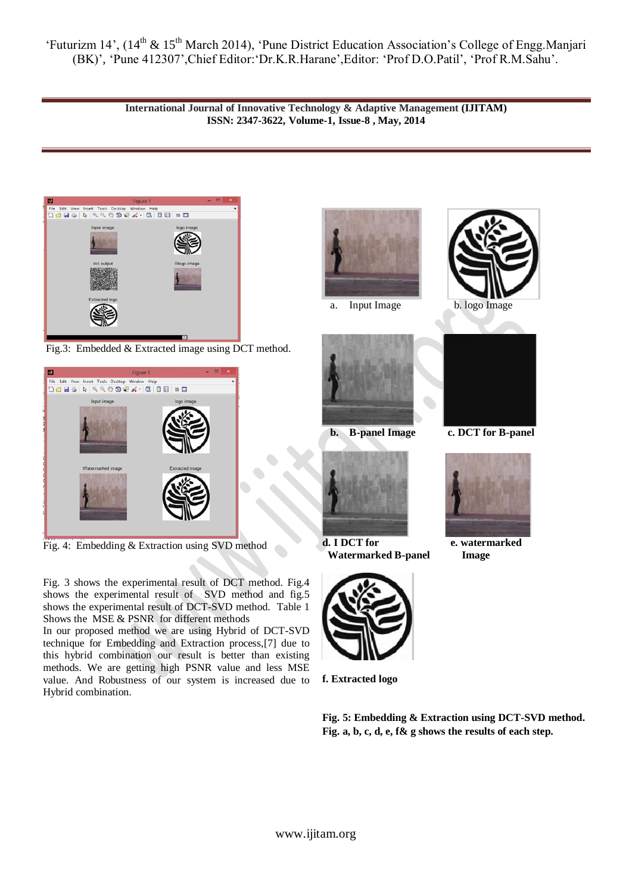> **International Journal of Innovative Technology & Adaptive Management (IJITAM) ISSN: 2347-3622, Volume-1, Issue-8 , May, 2014**



Fig.3: Embedded & Extracted image using DCT method.



Fig. 4: Embedding & Extraction using SVD method

Fig. 3 shows the experimental result of DCT method. Fig.4 shows the experimental result of SVD method and fig.5 shows the experimental result of DCT-SVD method. Table 1 Shows the MSE & PSNR for different methods

In our proposed method we are using Hybrid of DCT-SVD technique for Embedding and Extraction process,[7] due to this hybrid combination our result is better than existing methods. We are getting high PSNR value and less MSE value. And Robustness of our system is increased due to Hybrid combination.



a. Input Image b. logo Image





**d. I DCT for e. watermarked Watermarked B-panel Image**



**f. Extracted logo**

**Fig. 5: Embedding & Extraction using DCT-SVD method. Fig. a, b, c, d, e, f& g shows the results of each step.**





**b. B-panel Image c. DCT for B-panel**